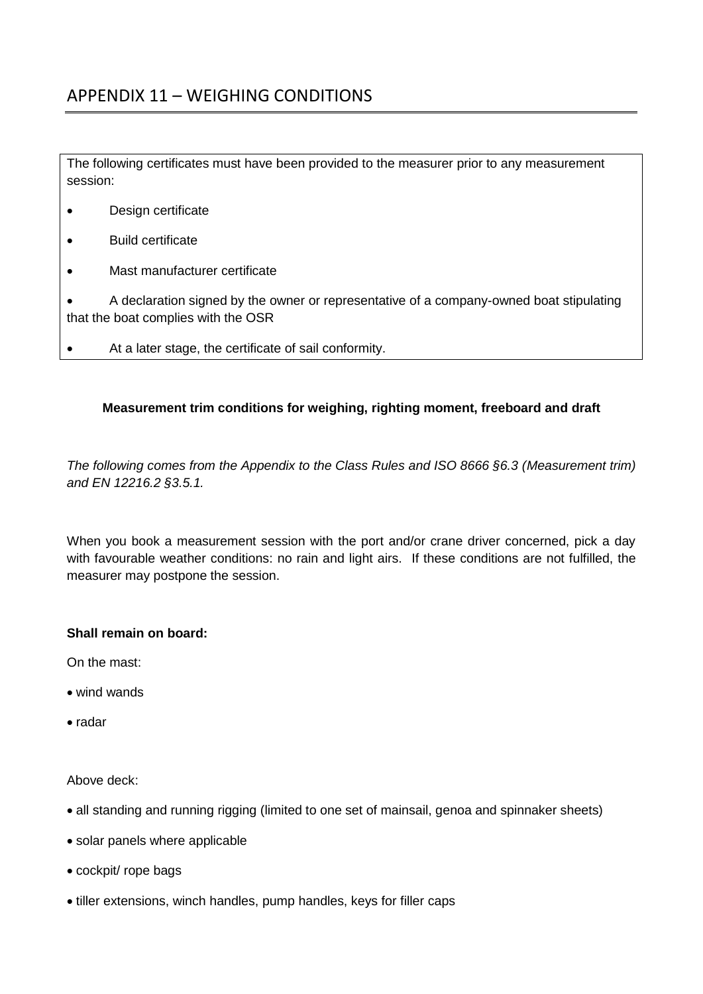The following certificates must have been provided to the measurer prior to any measurement session:

- Design certificate
- Build certificate
- Mast manufacturer certificate

 A declaration signed by the owner or representative of a company-owned boat stipulating that the boat complies with the OSR

At a later stage, the certificate of sail conformity.

## **Measurement trim conditions for weighing, righting moment, freeboard and draft**

*The following comes from the Appendix to the Class Rules and ISO 8666 §6.3 (Measurement trim) and EN 12216.2 §3.5.1.*

When you book a measurement session with the port and/or crane driver concerned, pick a day with favourable weather conditions: no rain and light airs. If these conditions are not fulfilled, the measurer may postpone the session.

## **Shall remain on board:**

On the mast:

- wind wands
- radar

Above deck:

- all standing and running rigging (limited to one set of mainsail, genoa and spinnaker sheets)
- solar panels where applicable
- cockpit/ rope bags
- tiller extensions, winch handles, pump handles, keys for filler caps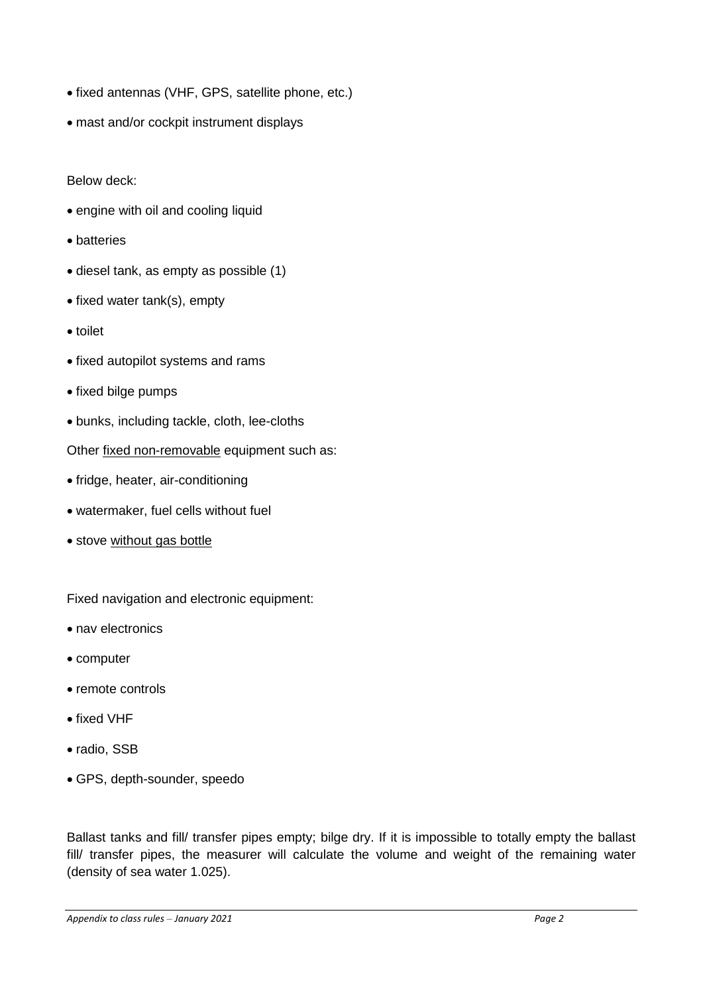- fixed antennas (VHF, GPS, satellite phone, etc.)
- mast and/or cockpit instrument displays

Below deck:

- engine with oil and cooling liquid
- batteries
- diesel tank, as empty as possible (1)
- $\bullet$  fixed water tank(s), empty
- toilet
- fixed autopilot systems and rams
- fixed bilge pumps
- bunks, including tackle, cloth, lee-cloths

Other fixed non-removable equipment such as:

- fridge, heater, air-conditioning
- watermaker, fuel cells without fuel
- stove without gas bottle

Fixed navigation and electronic equipment:

- nav electronics
- computer
- remote controls
- fixed VHF
- radio, SSB
- GPS, depth-sounder, speedo

Ballast tanks and fill/ transfer pipes empty; bilge dry. If it is impossible to totally empty the ballast fill/ transfer pipes, the measurer will calculate the volume and weight of the remaining water (density of sea water 1.025).

*Appendix to class rules – January 2021 Page 2*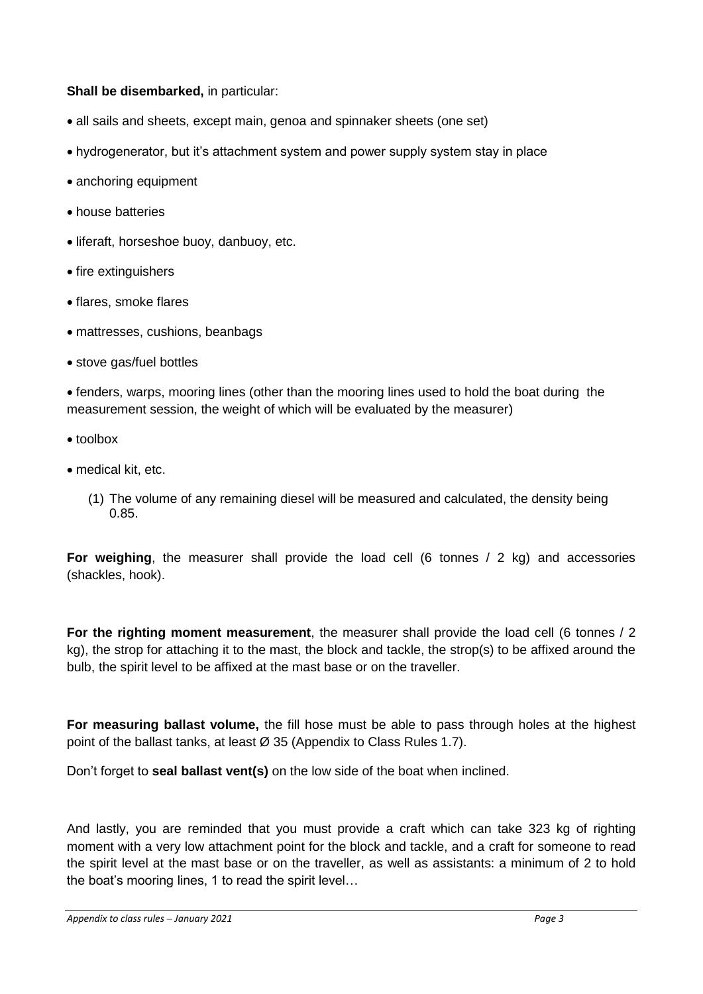## **Shall be disembarked,** in particular:

- all sails and sheets, except main, genoa and spinnaker sheets (one set)
- hydrogenerator, but it's attachment system and power supply system stay in place
- anchoring equipment
- house batteries
- **.** liferaft, horseshoe buoy, danbuoy, etc.
- fire extinguishers
- flares, smoke flares
- mattresses, cushions, beanbags
- stove gas/fuel bottles

fenders, warps, mooring lines (other than the mooring lines used to hold the boat during the measurement session, the weight of which will be evaluated by the measurer)

- toolbox
- medical kit, etc.
	- (1) The volume of any remaining diesel will be measured and calculated, the density being 0.85.

**For weighing**, the measurer shall provide the load cell (6 tonnes / 2 kg) and accessories (shackles, hook).

**For the righting moment measurement**, the measurer shall provide the load cell (6 tonnes / 2 kg), the strop for attaching it to the mast, the block and tackle, the strop(s) to be affixed around the bulb, the spirit level to be affixed at the mast base or on the traveller.

**For measuring ballast volume,** the fill hose must be able to pass through holes at the highest point of the ballast tanks, at least Ø 35 (Appendix to Class Rules 1.7).

Don't forget to **seal ballast vent(s)** on the low side of the boat when inclined.

And lastly, you are reminded that you must provide a craft which can take 323 kg of righting moment with a very low attachment point for the block and tackle, and a craft for someone to read the spirit level at the mast base or on the traveller, as well as assistants: a minimum of 2 to hold the boat's mooring lines, 1 to read the spirit level…